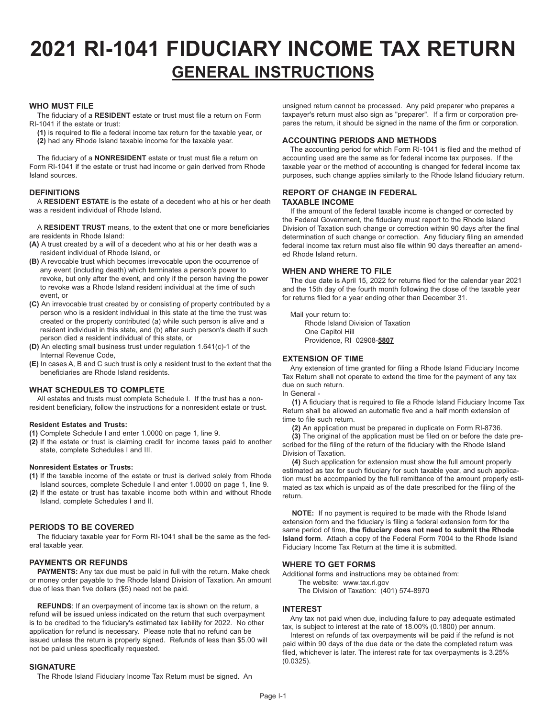# **2021 RI-1041 FIDUCIARY INCOME TAX RETURN GENERAL INSTRUCTIONS**

# **WHO MUST FILE**

The fiduciary of a **RESIDENT** estate or trust must file a return on Form RI-1041 if the estate or trust:

**(1)** is required to file a federal income tax return for the taxable year, or **(2)** had any Rhode Island taxable income for the taxable year.

The fiduciary of a **NONRESIDENT** estate or trust must file a return on Form RI-1041 if the estate or trust had income or gain derived from Rhode Island sources.

# **DEFINITIONS**

A **RESIDENT ESTATE** is the estate of a decedent who at his or her death was a resident individual of Rhode Island.

A **RESIDENT TRUST** means, to the extent that one or more beneficiaries are residents in Rhode Island:

- **(A)** A trust created by a will of a decedent who at his or her death was a resident individual of Rhode Island, or
- **(B)** A revocable trust which becomes irrevocable upon the occurrence of any event (including death) which terminates a person's power to revoke, but only after the event, and only if the person having the power to revoke was a Rhode Island resident individual at the time of such event, or
- **(C)** An irrevocable trust created by or consisting of property contributed by a person who is a resident individual in this state at the time the trust was created or the property contributed (a) while such person is alive and a resident individual in this state, and (b) after such person's death if such person died a resident individual of this state, or
- **(D)** An electing small business trust under regulation 1.641(c)-1 of the Internal Revenue Code,
- **(E)** In cases A, B and C such trust is only a resident trust to the extent that the beneficiaries are Rhode Island residents.

# **WHAT SCHEDULES TO COMPLETE**

All estates and trusts must complete Schedule I. If the trust has a nonresident beneficiary, follow the instructions for a nonresident estate or trust.

# **Resident Estates and Trusts:**

- **(1)** Complete Schedule I and enter 1.0000 on page 1, line 9.
- **(2)** If the estate or trust is claiming credit for income taxes paid to another state, complete Schedules I and III.

### **Nonresident Estates or Trusts:**

- **(1)** If the taxable income of the estate or trust is derived solely from Rhode Island sources, complete Schedule I and enter 1.0000 on page 1, line 9.
- **(2)** If the estate or trust has taxable income both within and without Rhode Island, complete Schedules I and II.

# **PERIODS TO BE COVERED**

The fiduciary taxable year for Form RI-1041 shall be the same as the federal taxable year.

# **PAYMENTS OR REFUNDS**

**PAYMENTS:** Any tax due must be paid in full with the return. Make check or money order payable to the Rhode Island Division of Taxation. An amount due of less than five dollars (\$5) need not be paid.

**REFUNDS**: If an overpayment of income tax is shown on the return, a refund will be issued unless indicated on the return that such overpayment is to be credited to the fiduciary's estimated tax liability for 2022. No other application for refund is necessary. Please note that no refund can be issued unless the return is properly signed. Refunds of less than \$5.00 will not be paid unless specifically requested.

# **SIGNATURE**

The Rhode Island Fiduciary Income Tax Return must be signed. An

unsigned return cannot be processed. Any paid preparer who prepares a taxpayer's return must also sign as "preparer". If a firm or corporation prepares the return, it should be signed in the name of the firm or corporation.

# **ACCOUNTING PERIODS AND METHODS**

The accounting period for which Form RI-1041 is filed and the method of accounting used are the same as for federal income tax purposes. If the taxable year or the method of accounting is changed for federal income tax purposes, such change applies similarly to the Rhode Island fiduciary return.

## **REPORT OF CHANGE IN FEDERAL TAXABLE INCOME**

If the amount of the federal taxable income is changed or corrected by the Federal Government, the fiduciary must report to the Rhode Island Division of Taxation such change or correction within 90 days after the final determination of such change or correction. Any fiduciary filing an amended federal income tax return must also file within 90 days thereafter an amended Rhode Island return.

# **WHEN AND WHERE TO FILE**

The due date is April 15, 2022 for returns filed for the calendar year 2021 and the 15th day of the fourth month following the close of the taxable year for returns filed for a year ending other than December 31.

Mail your return to: Rhode Island Division of Taxation One Capitol Hill Providence, RI 02908-**5807**

# **EXTENSION OF TIME**

Any extension of time granted for filing a Rhode Island Fiduciary Income Tax Return shall not operate to extend the time for the payment of any tax due on such return.

In General -

**(1)** A fiduciary that is required to file a Rhode Island Fiduciary Income Tax Return shall be allowed an automatic five and a half month extension of time to file such return.

**(2)** An application must be prepared in duplicate on Form RI-8736.

**(3)** The original of the application must be filed on or before the date prescribed for the filing of the return of the fiduciary with the Rhode Island Division of Taxation.

**(4)** Such application for extension must show the full amount properly estimated as tax for such fiduciary for such taxable year, and such application must be accompanied by the full remittance of the amount properly estimated as tax which is unpaid as of the date prescribed for the filing of the return.

**NOTE:** If no payment is required to be made with the Rhode Island extension form and the fiduciary is filing a federal extension form for the same period of time, **the fiduciary does not need to submit the Rhode Island form**. Attach a copy of the Federal Form 7004 to the Rhode Island Fiduciary Income Tax Return at the time it is submitted.

# **WHERE TO GET FORMS**

Additional forms and instructions may be obtained from:

The website: www.tax.ri.gov The Division of Taxation: (401) 574-8970

# **INTEREST**

Any tax not paid when due, including failure to pay adequate estimated tax, is subject to interest at the rate of 18.00% (0.1800) per annum.

Interest on refunds of tax overpayments will be paid if the refund is not paid within 90 days of the due date or the date the completed return was filed, whichever is later. The interest rate for tax overpayments is 3.25% (0.0325).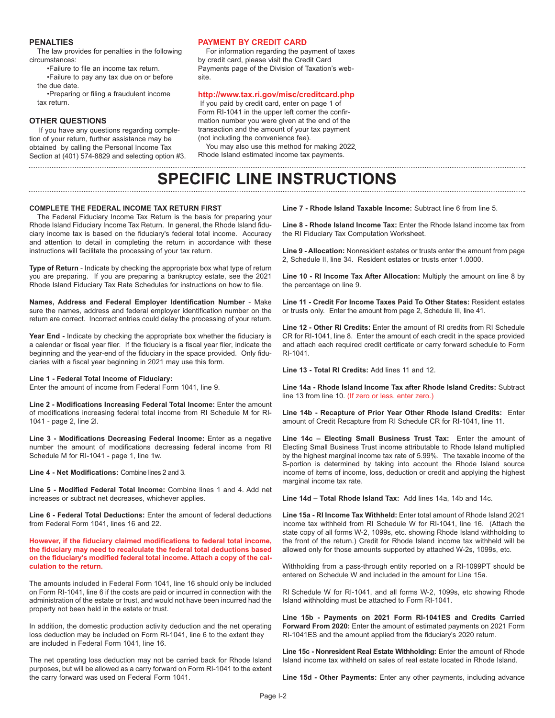### **PENALTIES**

The law provides for penalties in the following circumstances:

•Failure to file an income tax return.

•Failure to pay any tax due on or before the due date.

•Preparing or filing a fraudulent income tax return.

### **OTHER QUESTIONS**

If you have any questions regarding completion of your return, further assistance may be obtained by calling the Personal Income Tax Section at (401) 574-8829 and selecting option #3.

#### **PAYMENT BY CREDIT CARD**

For information regarding the payment of taxes by credit card, please visit the Credit Card Payments page of the Division of Taxation's website.

### **http://www.tax.ri.gov/misc/creditcard.php**

 If you paid by credit card, enter on page 1 of Form RI-1041 in the upper left corner the confirmation number you were given at the end of the transaction and the amount of your tax payment (not including the convenience fee).

You may also use this method for making 2022 Rhode Island estimated income tax payments.

# **SPECIFIC LINE INSTRUCTIONS**

### **COMPLETE THE FEDERAL INCOME TAX RETURN FIRST**

The Federal Fiduciary Income Tax Return is the basis for preparing your Rhode Island Fiduciary Income Tax Return. In general, the Rhode Island fiduciary income tax is based on the fiduciary's federal total income. Accuracy and attention to detail in completing the return in accordance with these instructions will facilitate the processing of your tax return.

**Type of Return** - Indicate by checking the appropriate box what type of return you are preparing. If you are preparing a bankruptcy estate, see the 2021 Rhode Island Fiduciary Tax Rate Schedules for instructions on how to file.

**Names, Address and Federal Employer Identification Number** - Make sure the names, address and federal employer identification number on the return are correct. Incorrect entries could delay the processing of your return.

**Year End -** Indicate by checking the appropriate box whether the fiduciary is a calendar or fiscal year filer. If the fiduciary is a fiscal year filer, indicate the beginning and the year-end of the fiduciary in the space provided. Only fiduciaries with a fiscal year beginning in 2021 may use this form.

### **Line 1 - Federal Total Income of Fiduciary:**

Enter the amount of income from Federal Form 1041, line 9.

**Line 2 - Modifications Increasing Federal Total Income:** Enter the amount of modifications increasing federal total income from RI Schedule M for RI-1041 - page 2, line 2l.

**Line 3 - Modifications Decreasing Federal Income:** Enter as a negative number the amount of modifications decreasing federal income from RI Schedule M for RI-1041 - page 1, line 1w.

**Line 4 - Net Modifications:** Combine lines 2 and 3.

**Line 5 - Modified Federal Total Income:** Combine lines 1 and 4. Add net increases or subtract net decreases, whichever applies.

**Line 6 - Federal Total Deductions:** Enter the amount of federal deductions from Federal Form 1041, lines 16 and 22.

**However, if the fiduciary claimed modifications to federal total income, the fiduciary may need to recalculate the federal total deductions based on the fiduciary's modified federal total income. Attach a copy of the calculation to the return.** 

The amounts included in Federal Form 1041, line 16 should only be included on Form RI-1041, line 6 if the costs are paid or incurred in connection with the administration of the estate or trust, and would not have been incurred had the property not been held in the estate or trust.

In addition, the domestic production activity deduction and the net operating loss deduction may be included on Form RI-1041, line 6 to the extent they are included in Federal Form 1041, line 16.

The net operating loss deduction may not be carried back for Rhode Island purposes, but will be allowed as a carry forward on Form RI-1041 to the extent the carry forward was used on Federal Form 1041.

**Line 7 - Rhode Island Taxable Income:** Subtract line 6 from line 5.

**Line 8 - Rhode Island Income Tax:** Enter the Rhode Island income tax from the RI Fiduciary Tax Computation Worksheet.

**Line 9 - Allocation:** Nonresident estates or trusts enter the amount from page 2, Schedule II, line 34. Resident estates or trusts enter 1.0000.

**Line 10 - RI Income Tax After Allocation:** Multiply the amount on line 8 by the percentage on line 9.

**Line 11 - Credit For Income Taxes Paid To Other States:** Resident estates or trusts only. Enter the amount from page 2, Schedule III, line 41.

**Line 12 - Other RI Credits:** Enter the amount of RI credits from RI Schedule CR for RI-1041, line 8. Enter the amount of each credit in the space provided and attach each required credit certificate or carry forward schedule to Form RI-1041.

**Line 13 - Total RI Credits:** Add lines 11 and 12.

**Line 14a - Rhode Island Income Tax after Rhode Island Credits:** Subtract line 13 from line 10. (If zero or less, enter zero.)

**Line 14b - Recapture of Prior Year Other Rhode Island Credits:** Enter amount of Credit Recapture from RI Schedule CR for RI-1041, line 11.

**Line 14c – Electing Small Business Trust Tax:** Enter the amount of Electing Small Business Trust income attributable to Rhode Island multiplied by the highest marginal income tax rate of 5.99%. The taxable income of the S-portion is determined by taking into account the Rhode Island source income of items of income, loss, deduction or credit and applying the highest marginal income tax rate.

**Line 14d – Total Rhode Island Tax:** Add lines 14a, 14b and 14c.

**Line 15a - RI Income Tax Withheld:** Enter total amount of Rhode Island 2021 income tax withheld from RI Schedule W for RI-1041, line 16. (Attach the state copy of all forms W-2, 1099s, etc. showing Rhode Island withholding to the front of the return.) Credit for Rhode Island income tax withheld will be allowed only for those amounts supported by attached W-2s, 1099s, etc.

Withholding from a pass-through entity reported on a RI-1099PT should be entered on Schedule W and included in the amount for Line 15a.

RI Schedule W for RI-1041, and all forms W-2, 1099s, etc showing Rhode Island withholding must be attached to Form RI-1041.

**Line 15b - Payments on 2021 Form RI-1041ES and Credits Carried Forward From 2020:** Enter the amount of estimated payments on 2021 Form RI-1041ES and the amount applied from the fiduciary's 2020 return.

**Line 15c - Nonresident Real Estate Withholding:** Enter the amount of Rhode Island income tax withheld on sales of real estate located in Rhode Island.

**Line 15d - Other Payments:** Enter any other payments, including advance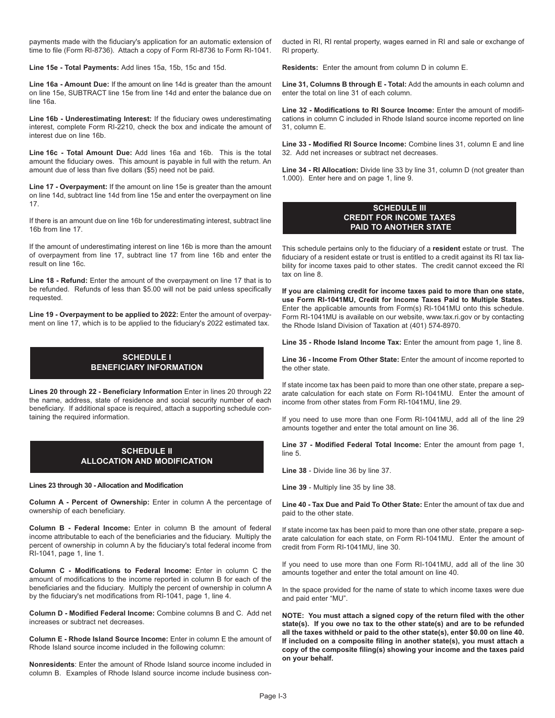payments made with the fiduciary's application for an automatic extension of time to file (Form RI-8736). Attach a copy of Form RI-8736 to Form RI-1041.

**Line 15e - Total Payments:** Add lines 15a, 15b, 15c and 15d.

**Line 16a - Amount Due:** If the amount on line 14d is greater than the amount on line 15e, SUBTRACT line 15e from line 14d and enter the balance due on line 16a.

**Line 16b - Underestimating Interest:** If the fiduciary owes underestimating interest, complete Form RI-2210, check the box and indicate the amount of interest due on line 16b.

**Line 16c - Total Amount Due:** Add lines 16a and 16b. This is the total amount the fiduciary owes. This amount is payable in full with the return. An amount due of less than five dollars (\$5) need not be paid.

**Line 17 - Overpayment:** If the amount on line 15e is greater than the amount on line 14d, subtract line 14d from line 15e and enter the overpayment on line 17.

If there is an amount due on line 16b for underestimating interest, subtract line 16b from line 17.

If the amount of underestimating interest on line 16b is more than the amount of overpayment from line 17, subtract line 17 from line 16b and enter the result on line 16c.

**Line 18 - Refund:** Enter the amount of the overpayment on line 17 that is to be refunded. Refunds of less than \$5.00 will not be paid unless specifically requested.

**Line 19 - Overpayment to be applied to 2022:** Enter the amount of overpayment on line 17, which is to be applied to the fiduciary's 2022 estimated tax.

# **SCHEDULE I BENEFICIARY INFORMATION**

**Lines 20 through 22 - Beneficiary Information** Enter in lines 20 through 22 the name, address, state of residence and social security number of each beneficiary. If additional space is required, attach a supporting schedule containing the required information.

# **SCHEDULE II ALLOCATION AND MODIFICATION**

**Lines 23 through 30 - Allocation and Modification**

**Column A - Percent of Ownership:** Enter in column A the percentage of ownership of each beneficiary.

**Column B - Federal Income:** Enter in column B the amount of federal income attributable to each of the beneficiaries and the fiduciary. Multiply the percent of ownership in column A by the fiduciary's total federal income from RI-1041, page 1, line 1.

**Column C - Modifications to Federal Income:** Enter in column C the amount of modifications to the income reported in column B for each of the beneficiaries and the fiduciary. Multiply the percent of ownership in column A by the fiduciary's net modifications from RI-1041, page 1, line 4.

**Column D - Modified Federal Income:** Combine columns B and C. Add net increases or subtract net decreases.

**Column E - Rhode Island Source Income:** Enter in column E the amount of Rhode Island source income included in the following column:

**Nonresidents**: Enter the amount of Rhode Island source income included in column B. Examples of Rhode Island source income include business conducted in RI, RI rental property, wages earned in RI and sale or exchange of RI property.

**Residents:** Enter the amount from column D in column E.

**Line 31, Columns B through E - Total:** Add the amounts in each column and enter the total on line 31 of each column.

**Line 32 - Modifications to RI Source Income:** Enter the amount of modifications in column C included in Rhode Island source income reported on line 31, column E.

**Line 33 - Modified RI Source Income:** Combine lines 31, column E and line 32. Add net increases or subtract net decreases.

**Line 34 - RI Allocation:** Divide line 33 by line 31, column D (not greater than 1.000). Enter here and on page 1, line 9.

# **SCHEDULE III CREDIT FOR INCOME TAXES PAID TO ANOTHER STATE**

This schedule pertains only to the fiduciary of a **resident** estate or trust. The fiduciary of a resident estate or trust is entitled to a credit against its RI tax liability for income taxes paid to other states. The credit cannot exceed the RI tax on line 8.

**If you are claiming credit for income taxes paid to more than one state, use Form RI-1041MU, Credit for Income Taxes Paid to Multiple States.**  Enter the applicable amounts from Form(s) RI-1041MU onto this schedule. Form RI-1041MU is available on our website, www.tax.ri.gov or by contacting the Rhode Island Division of Taxation at (401) 574-8970.

**Line 35 - Rhode Island Income Tax:** Enter the amount from page 1, line 8.

**Line 36 - Income From Other State:** Enter the amount of income reported to the other state.

If state income tax has been paid to more than one other state, prepare a separate calculation for each state on Form RI-1041MU. Enter the amount of income from other states from Form RI-1041MU, line 29.

If you need to use more than one Form RI-1041MU, add all of the line 29 amounts together and enter the total amount on line 36.

**Line 37 - Modified Federal Total Income:** Enter the amount from page 1, line 5.

**Line 38** - Divide line 36 by line 37.

**Line 39** - Multiply line 35 by line 38.

**Line 40 - Tax Due and Paid To Other State:** Enter the amount of tax due and paid to the other state.

If state income tax has been paid to more than one other state, prepare a separate calculation for each state, on Form RI-1041MU. Enter the amount of credit from Form RI-1041MU, line 30.

If you need to use more than one Form RI-1041MU, add all of the line 30 amounts together and enter the total amount on line 40.

In the space provided for the name of state to which income taxes were due and paid enter "MU".

**NOTE: You must attach a signed copy of the return filed with the other state(s). If you owe no tax to the other state(s) and are to be refunded all the taxes withheld or paid to the other state(s), enter \$0.00 on line 40. If included on a composite filing in another state(s), you must attach a copy of the composite filing(s) showing your income and the taxes paid on your behalf.**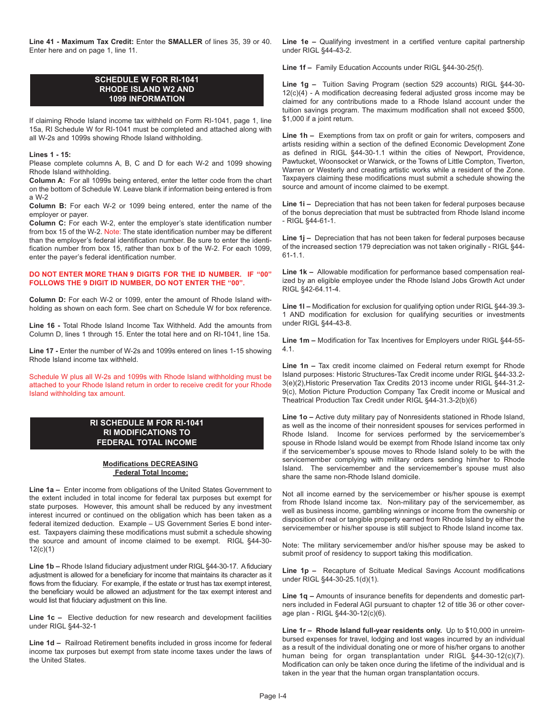**Line 41 - Maximum Tax Credit:** Enter the **SMALLER** of lines 35, 39 or 40. Enter here and on page 1, line 11.

# **SCHEDULE W FOR RI-1041 RHODE ISLAND W2 AND 1099 INFORMATION**

If claiming Rhode Island income tax withheld on Form RI-1041, page 1, line 15a, RI Schedule W for RI-1041 must be completed and attached along with all W-2s and 1099s showing Rhode Island withholding.

### **Lines 1 - 15:**

Please complete columns A, B, C and D for each W-2 and 1099 showing Rhode Island withholding.

**Column A:** For all 1099s being entered, enter the letter code from the chart on the bottom of Schedule W. Leave blank if information being entered is from a W-2

**Column B:** For each W-2 or 1099 being entered, enter the name of the employer or payer.

**Column C:** For each W-2, enter the employer's state identification number from box 15 of the W-2. Note: The state identification number may be different than the employer's federal identification number. Be sure to enter the identification number from box 15, rather than box b of the W-2. For each 1099, enter the payer's federal identification number.

### **DO NOT ENTER MORE THAN 9 DIGITS FOR THE ID NUMBER. IF "00" FOLLOWS THE 9 DIGIT ID NUMBER, DO NOT ENTER THE "00".**

**Column D:** For each W-2 or 1099, enter the amount of Rhode Island withholding as shown on each form. See chart on Schedule W for box reference.

**Line 16 -** Total Rhode Island Income Tax Withheld. Add the amounts from Column D, lines 1 through 15. Enter the total here and on RI-1041, line 15a.

**Line 17 -** Enter the number of W-2s and 1099s entered on lines 1-15 showing Rhode Island income tax withheld.

Schedule W plus all W-2s and 1099s with Rhode Island withholding must be attached to your Rhode Island return in order to receive credit for your Rhode Island withholding tax amount.

# **RI SCHEDULE M FOR RI-1041 RI MODIFICATIONS TO FEDERAL TOTAL INCOME**

### **Modifications DECREASING Federal Total Income:**

**Line 1a –** Enter income from obligations of the United States Government to the extent included in total income for federal tax purposes but exempt for state purposes. However, this amount shall be reduced by any investment interest incurred or continued on the obligation which has been taken as a federal itemized deduction. Example – US Government Series E bond interest. Taxpayers claiming these modifications must submit a schedule showing the source and amount of income claimed to be exempt. RIGL §44-30- 12(c)(1)

**Line 1b –** Rhode Island fiduciary adjustment under RIGL §44-30-17. A fiduciary adjustment is allowed for a beneficiary for income that maintains its character as it flows from the fiduciary. For example, if the estate or trust has tax exempt interest, the beneficiary would be allowed an adjustment for the tax exempt interest and would list that fiduciary adjustment on this line.

**Line 1c –** Elective deduction for new research and development facilities under RIGL §44-32-1

**Line 1d –** Railroad Retirement benefits included in gross income for federal income tax purposes but exempt from state income taxes under the laws of the United States.

**Line 1e –** Qualifying investment in a certified venture capital partnership under RIGL §44-43-2.

**Line 1f –** Family Education Accounts under RIGL §44-30-25(f).

**Line 1g –** Tuition Saving Program (section 529 accounts) RIGL §44-30- 12(c)(4) - A modification decreasing federal adjusted gross income may be claimed for any contributions made to a Rhode Island account under the tuition savings program. The maximum modification shall not exceed \$500, \$1,000 if a joint return.

**Line 1h –** Exemptions from tax on profit or gain for writers, composers and artists residing within a section of the defined Economic Development Zone as defined in RIGL §44-30-1.1 within the cities of Newport, Providence, Pawtucket, Woonsocket or Warwick, or the Towns of Little Compton, Tiverton, Warren or Westerly and creating artistic works while a resident of the Zone. Taxpayers claiming these modifications must submit a schedule showing the source and amount of income claimed to be exempt.

**Line 1i –** Depreciation that has not been taken for federal purposes because of the bonus depreciation that must be subtracted from Rhode Island income - RIGL §44-61-1.

**Line 1j –** Depreciation that has not been taken for federal purposes because of the increased section 179 depreciation was not taken originally - RIGL §44- 61-1.1.

**Line 1k –** Allowable modification for performance based compensation realized by an eligible employee under the Rhode Island Jobs Growth Act under RIGL §42-64.11-4.

**Line 1l –** Modification for exclusion for qualifying option under RIGL §44-39.3- 1 AND modification for exclusion for qualifying securities or investments under RIGL §44-43-8.

**Line 1m –** Modification for Tax Incentives for Employers under RIGL §44-55- 4.1.

**Line 1n –** Tax credit income claimed on Federal return exempt for Rhode Island purposes: Historic Structures-Tax Credit income under RIGL §44-33.2- 3(e)(2),Historic Preservation Tax Credits 2013 income under RIGL §44-31.2- 9(c), Motion Picture Production Company Tax Credit income or Musical and Theatrical Production Tax Credit under RIGL §44-31.3-2(b)(6)

**Line 1o –** Active duty military pay of Nonresidents stationed in Rhode Island, as well as the income of their nonresident spouses for services performed in Rhode Island. Income for services performed by the servicemember's spouse in Rhode Island would be exempt from Rhode Island income tax only if the servicemember's spouse moves to Rhode Island solely to be with the servicemember complying with military orders sending him/her to Rhode Island. The servicemember and the servicemember's spouse must also share the same non-Rhode Island domicile.

Not all income earned by the servicemember or his/her spouse is exempt from Rhode Island income tax. Non-military pay of the servicemember, as well as business income, gambling winnings or income from the ownership or disposition of real or tangible property earned from Rhode Island by either the servicemember or his/her spouse is still subject to Rhode Island income tax.

Note: The military servicemember and/or his/her spouse may be asked to submit proof of residency to support taking this modification.

**Line 1p –** Recapture of Scituate Medical Savings Account modifications under RIGL §44-30-25.1(d)(1).

**Line 1q –** Amounts of insurance benefits for dependents and domestic partners included in Federal AGI pursuant to chapter 12 of title 36 or other coverage plan - RIGL §44-30-12(c)(6).

**Line 1r – Rhode Island full-year residents only.** Up to \$10,000 in unreimbursed expenses for travel, lodging and lost wages incurred by an individual as a result of the individual donating one or more of his/her organs to another human being for organ transplantation under RIGL §44-30-12(c)(7). Modification can only be taken once during the lifetime of the individual and is taken in the year that the human organ transplantation occurs.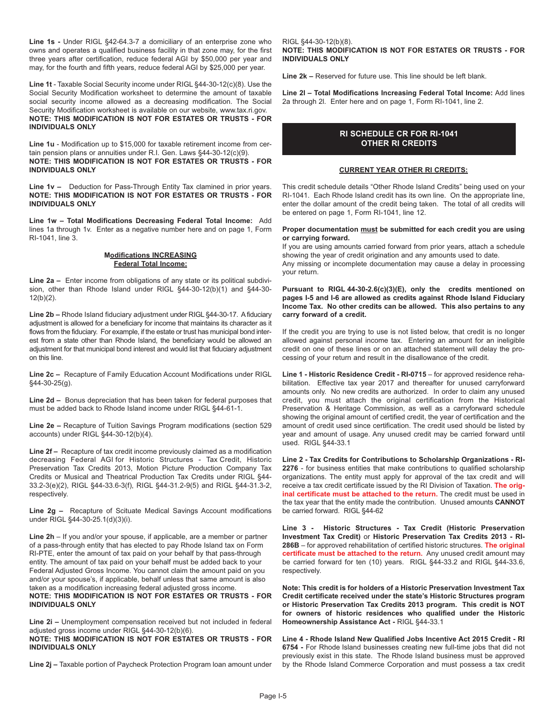**Line 1s -** Under RIGL §42-64.3-7 a domiciliary of an enterprise zone who owns and operates a qualified business facility in that zone may, for the first three years after certification, reduce federal AGI by \$50,000 per year and may, for the fourth and fifth years, reduce federal AGI by \$25,000 per year.

**Line 1t** - Taxable Social Security income under RIGL §44-30-12(c)(8). Use the Social Security Modification worksheet to determine the amount of taxable social security income allowed as a decreasing modification. The Social Security Modification worksheet is available on our website, www.tax.ri.gov. **NOTE: THIS MODIFICATION IS NOT FOR ESTATES OR TRUSTS - FOR INDIVIDUALS ONLY**

**Line 1u** - Modification up to \$15,000 for taxable retirement income from certain pension plans or annuities under R.I. Gen. Laws §44-30-12(c)(9). **NOTE: THIS MODIFICATION IS NOT FOR ESTATES OR TRUSTS - FOR INDIVIDUALS ONLY** 

**Line 1v –** Deduction for Pass-Through Entity Tax clamined in prior years. **NOTE: THIS MODIFICATION IS NOT FOR ESTATES OR TRUSTS - FOR INDIVIDUALS ONLY** 

**Line 1w – Total Modifications Decreasing Federal Total Income:** Add lines 1a through 1v. Enter as a negative number here and on page 1, Form RI-1041, line 3.

## **Modifications INCREASING Federal Total Income:**

**Line 2a –** Enter income from obligations of any state or its political subdivision, other than Rhode Island under RIGL §44-30-12(b)(1) and §44-30- 12(b)(2).

**Line 2b –** Rhode Island fiduciary adjustment under RIGL §44-30-17. A fiduciary adjustment is allowed for a beneficiary for income that maintains its character as it flows from the fiduciary. For example, if the estate or trust has municipal bond interest from a state other than Rhode Island, the beneficiary would be allowed an adjustment for that municipal bond interest and would list that fiduciary adjustment on this line.

**Line 2c –** Recapture of Family Education Account Modifications under RIGL  §44-30-25(g).

**Line 2d –** Bonus depreciation that has been taken for federal purposes that must be added back to Rhode Island income under RIGL §44-61-1.

**Line 2e –** Recapture of Tuition Savings Program modifications (section 529 accounts) under RIGL §44-30-12(b)(4).

**Line 2f –** Recapture of tax credit income previously claimed as a modification decreasing Federal AGI for Historic Structures - Tax Credit, Historic Preservation Tax Credits 2013, Motion Picture Production Company Tax Credits or Musical and Theatrical Production Tax Credits under RIGL §44- 33.2-3(e)(2), RIGL §44-33.6-3(f), RIGL §44-31.2-9(5) and RIGL §44-31.3-2, respectively.

**Line 2g –** Recapture of Scituate Medical Savings Account modifications under RIGL §44-30-25.1(d)(3)(i).

**Line 2h** – If you and/or your spouse, if applicable, are a member or partner of a pass-through entity that has elected to pay Rhode Island tax on Form RI-PTE, enter the amount of tax paid on your behalf by that pass-through entity. The amount of tax paid on your behalf must be added back to your Federal Adjusted Gross Income. You cannot claim the amount paid on you and/or your spouse's, if applicable, behalf unless that same amount is also taken as a modification increasing federal adjusted gross income.

**NOTE: THIS MODIFICATION IS NOT FOR ESTATES OR TRUSTS - FOR INDIVIDUALS ONLY** 

**Line 2i –** Unemployment compensation received but not included in federal adjusted gross income under RIGL §44-30-12(b)(6).

**NOTE: THIS MODIFICATION IS NOT FOR ESTATES OR TRUSTS - FOR INDIVIDUALS ONLY**

**Line 2j –** Taxable portion of Paycheck Protection Program loan amount under

RIGL §44-30-12(b)(8). **NOTE: THIS MODIFICATION IS NOT FOR ESTATES OR TRUSTS - FOR INDIVIDUALS ONLY** 

**Line 2k –** Reserved for future use. This line should be left blank.

**Line 2l – Total Modifications Increasing Federal Total Income:** Add lines 2a through 2l. Enter here and on page 1, Form RI-1041, line 2.

# **RI SCHEDULE CR FOR RI-1041 OTHER RI CREDITS**

# **CURRENT YEAR OTHER RI CREDITS:**

This credit schedule details "Other Rhode Island Credits" being used on your RI-1041. Each Rhode Island credit has its own line. On the appropriate line, enter the dollar amount of the credit being taken. The total of all credits will be entered on page 1, Form RI-1041, line 12.

### **Proper documentation must be submitted for each credit you are using or carrying forward.**

If you are using amounts carried forward from prior years, attach a schedule showing the year of credit origination and any amounts used to date. Any missing or incomplete documentation may cause a delay in processing your return.

**Pursuant to RIGL 44-30-2.6(c)(3)(E), only the credits mentioned on pages I-5 and I-6 are allowed as credits against Rhode Island Fiduciary Income Tax. No other credits can be allowed. This also pertains to any carry forward of a credit.** 

If the credit you are trying to use is not listed below, that credit is no longer allowed against personal income tax. Entering an amount for an ineligible credit on one of these lines or on an attached statement will delay the processing of your return and result in the disallowance of the credit.

**Line 1 - Historic Residence Credit - RI-0715** – for approved residence rehabilitation. Effective tax year 2017 and thereafter for unused carryforward amounts only. No new credits are authorized. In order to claim any unused credit, you must attach the original certification from the Historical Preservation & Heritage Commission, as well as a carryforward schedule showing the original amount of certified credit, the year of certification and the amount of credit used since certification. The credit used should be listed by year and amount of usage. Any unused credit may be carried forward until used. RIGL §44-33.1

**Line 2 - Tax Credits for Contributions to Scholarship Organizations - RI-2276** - for business entities that make contributions to qualified scholarship organizations. The entity must apply for approval of the tax credit and will receive a tax credit certificate issued by the RI Division of Taxation. **The original certificate must be attached to the return.** The credit must be used in the tax year that the entity made the contribution. Unused amounts **CANNOT** be carried forward. RIGL §44-62

**Line 3 - Historic Structures - Tax Credit (Historic Preservation Investment Tax Credit)** or **Historic Preservation Tax Credits 2013 - RI-286B** – for approved rehabilitation of certified historic structures. **The original certificate must be attached to the return.** Any unused credit amount may be carried forward for ten (10) years. RIGL §44-33.2 and RIGL §44-33.6, respectively.

**Note: This credit is for holders of a Historic Preservation Investment Tax Credit certificate received under the state's Historic Structures program or Historic Preservation Tax Credits 2013 program. This credit is NOT  for owners of historic residences who qualified under the Historic Homeownership Assistance Act -** RIGL §44-33.1

**Line 4 - Rhode Island New Qualified Jobs Incentive Act 2015 Credit - RI  6754 - For Rhode Island businesses creating new full-time jobs that did not** previously exist in this state.  The Rhode Island business must be approved by the Rhode Island Commerce Corporation and must possess a tax credit